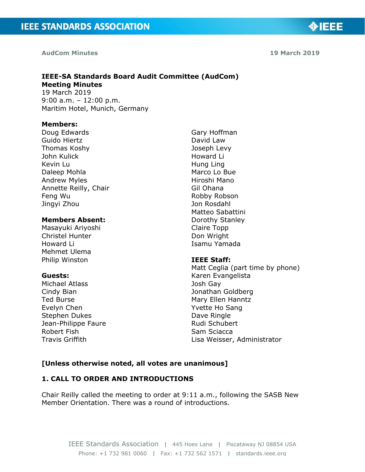#### **AudCom Minutes**

**19 March 2019**

**OIEEE** 

# **IEEE-SA Standards Board Audit Committee (AudCom) Meeting Minutes** 19 March 2019

9:00 a.m. – 12:00 p.m. Maritim Hotel, Munich, Germany

#### **Members:**

Doug Edwards Guido Hiertz Thomas Koshy John Kulick Kevin Lu Daleep Mohla Andrew Myles Annette Reilly, Chair Feng Wu Jingyi Zhou

## **Members Absent:**

Masayuki Ariyoshi Christel Hunter Howard Li Mehmet Ulema Philip Winston

#### **Guests:**

Michael Atlass Cindy Bian Ted Burse Evelyn Chen Stephen Dukes Jean-Philippe Faure Robert Fish Travis Griffith

Gary Hoffman David Law Joseph Levy Howard Li Hung Ling Marco Lo Bue Hiroshi Mano Gil Ohana Robby Robson Jon Rosdahl Matteo Sabattini Dorothy Stanley Claire Topp Don Wright Isamu Yamada

#### **IEEE Staff:**

Matt Ceglia (part time by phone) Karen Evangelista Josh Gay Jonathan Goldberg Mary Ellen Hanntz Yvette Ho Sang Dave Ringle Rudi Schubert Sam Sciacca Lisa Weisser, Administrator

#### **[Unless otherwise noted, all votes are unanimous]**

#### **1. CALL TO ORDER AND INTRODUCTIONS**

Chair Reilly called the meeting to order at 9:11 a.m., following the SASB New Member Orientation. There was a round of introductions.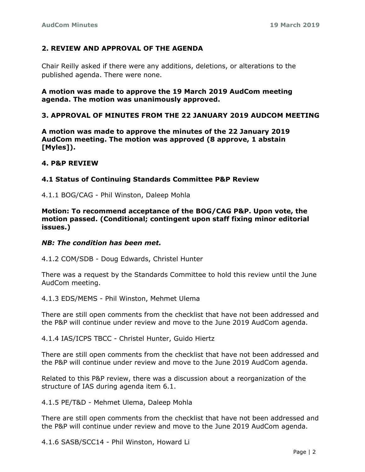# **2. REVIEW AND APPROVAL OF THE AGENDA**

Chair Reilly asked if there were any additions, deletions, or alterations to the published agenda. There were none.

**A motion was made to approve the 19 March 2019 AudCom meeting agenda. The motion was unanimously approved.**

## **3. APPROVAL OF MINUTES FROM THE 22 JANUARY 2019 AUDCOM MEETING**

**A motion was made to approve the minutes of the 22 January 2019 AudCom meeting. The motion was approved (8 approve, 1 abstain [Myles]).**

#### **4. P&P REVIEW**

#### **4.1 Status of Continuing Standards Committee P&P Review**

4.1.1 BOG/CAG - Phil Winston, Daleep Mohla

**Motion: To recommend acceptance of the BOG/CAG P&P. Upon vote, the motion passed. (Conditional; contingent upon staff fixing minor editorial issues.)**

#### *NB: The condition has been met.*

4.1.2 COM/SDB - Doug Edwards, Christel Hunter

There was a request by the Standards Committee to hold this review until the June AudCom meeting.

4.1.3 EDS/MEMS - Phil Winston, Mehmet Ulema

There are still open comments from the checklist that have not been addressed and the P&P will continue under review and move to the June 2019 AudCom agenda.

4.1.4 IAS/ICPS TBCC - Christel Hunter, Guido Hiertz

There are still open comments from the checklist that have not been addressed and the P&P will continue under review and move to the June 2019 AudCom agenda.

Related to this P&P review, there was a discussion about a reorganization of the structure of IAS during agenda item 6.1.

4.1.5 PE/T&D - Mehmet Ulema, Daleep Mohla

There are still open comments from the checklist that have not been addressed and the P&P will continue under review and move to the June 2019 AudCom agenda.

4.1.6 SASB/SCC14 - Phil Winston, Howard Li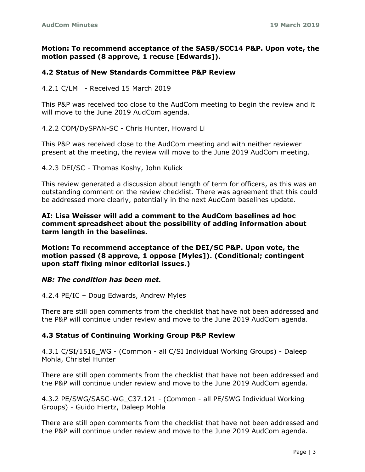## **Motion: To recommend acceptance of the SASB/SCC14 P&P. Upon vote, the motion passed (8 approve, 1 recuse [Edwards]).**

## **4.2 Status of New Standards Committee P&P Review**

4.2.1 C/LM - Received 15 March 2019

This P&P was received too close to the AudCom meeting to begin the review and it will move to the June 2019 AudCom agenda.

4.2.2 COM/DySPAN-SC - Chris Hunter, Howard Li

This P&P was received close to the AudCom meeting and with neither reviewer present at the meeting, the review will move to the June 2019 AudCom meeting.

4.2.3 DEI/SC - Thomas Koshy, John Kulick

This review generated a discussion about length of term for officers, as this was an outstanding comment on the review checklist. There was agreement that this could be addressed more clearly, potentially in the next AudCom baselines update.

## **AI: Lisa Weisser will add a comment to the AudCom baselines ad hoc comment spreadsheet about the possibility of adding information about term length in the baselines.**

**Motion: To recommend acceptance of the DEI/SC P&P. Upon vote, the motion passed (8 approve, 1 oppose [Myles]). (Conditional; contingent upon staff fixing minor editorial issues.)**

#### *NB: The condition has been met.*

4.2.4 PE/IC – Doug Edwards, Andrew Myles

There are still open comments from the checklist that have not been addressed and the P&P will continue under review and move to the June 2019 AudCom agenda.

## **4.3 Status of Continuing Working Group P&P Review**

4.3.1 C/SI/1516\_WG - (Common - all C/SI Individual Working Groups) - Daleep Mohla, Christel Hunter

There are still open comments from the checklist that have not been addressed and the P&P will continue under review and move to the June 2019 AudCom agenda.

4.3.2 PE/SWG/SASC-WG\_C37.121 - (Common - all PE/SWG Individual Working Groups) - Guido Hiertz, Daleep Mohla

There are still open comments from the checklist that have not been addressed and the P&P will continue under review and move to the June 2019 AudCom agenda.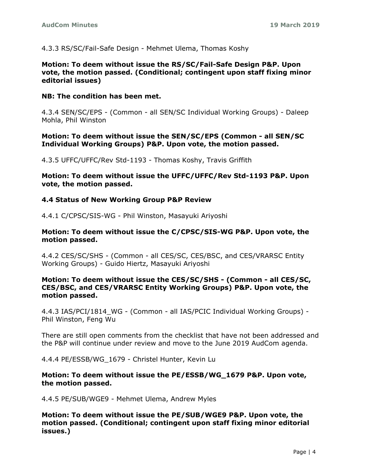4.3.3 RS/SC/Fail-Safe Design - Mehmet Ulema, Thomas Koshy

#### **Motion: To deem without issue the RS/SC/Fail-Safe Design P&P. Upon vote, the motion passed. (Conditional; contingent upon staff fixing minor editorial issues)**

### **NB: The condition has been met.**

4.3.4 SEN/SC/EPS - (Common - all SEN/SC Individual Working Groups) - Daleep Mohla, Phil Winston

### **Motion: To deem without issue the SEN/SC/EPS (Common - all SEN/SC Individual Working Groups) P&P. Upon vote, the motion passed.**

4.3.5 UFFC/UFFC/Rev Std-1193 - Thomas Koshy, Travis Griffith

**Motion: To deem without issue the UFFC/UFFC/Rev Std-1193 P&P. Upon vote, the motion passed.**

## **4.4 Status of New Working Group P&P Review**

4.4.1 C/CPSC/SIS-WG - Phil Winston, Masayuki Ariyoshi

#### **Motion: To deem without issue the C/CPSC/SIS-WG P&P. Upon vote, the motion passed.**

4.4.2 CES/SC/SHS - (Common - all CES/SC, CES/BSC, and CES/VRARSC Entity Working Groups) - Guido Hiertz, Masayuki Ariyoshi

## **Motion: To deem without issue the CES/SC/SHS - (Common - all CES/SC, CES/BSC, and CES/VRARSC Entity Working Groups) P&P. Upon vote, the motion passed.**

4.4.3 IAS/PCI/1814\_WG - (Common - all IAS/PCIC Individual Working Groups) - Phil Winston, Feng Wu

There are still open comments from the checklist that have not been addressed and the P&P will continue under review and move to the June 2019 AudCom agenda.

4.4.4 PE/ESSB/WG\_1679 - Christel Hunter, Kevin Lu

## **Motion: To deem without issue the PE/ESSB/WG\_1679 P&P. Upon vote, the motion passed.**

4.4.5 PE/SUB/WGE9 - Mehmet Ulema, Andrew Myles

**Motion: To deem without issue the PE/SUB/WGE9 P&P. Upon vote, the motion passed. (Conditional; contingent upon staff fixing minor editorial issues.)**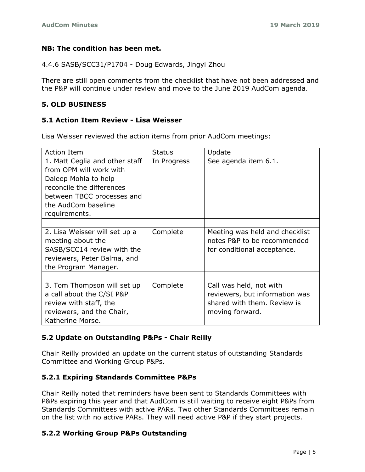## **NB: The condition has been met.**

4.4.6 SASB/SCC31/P1704 - Doug Edwards, Jingyi Zhou

There are still open comments from the checklist that have not been addressed and the P&P will continue under review and move to the June 2019 AudCom agenda.

## **5. OLD BUSINESS**

#### **5.1 Action Item Review - Lisa Weisser**

Lisa Weisser reviewed the action items from prior AudCom meetings:

| <b>Action Item</b>                                                                                                                                                                   | <b>Status</b> | Update                                                                                                      |
|--------------------------------------------------------------------------------------------------------------------------------------------------------------------------------------|---------------|-------------------------------------------------------------------------------------------------------------|
| 1. Matt Ceglia and other staff<br>from OPM will work with<br>Daleep Mohla to help<br>reconcile the differences<br>between TBCC processes and<br>the AudCom baseline<br>requirements. | In Progress   | See agenda item 6.1.                                                                                        |
|                                                                                                                                                                                      |               |                                                                                                             |
| 2. Lisa Weisser will set up a<br>meeting about the<br>SASB/SCC14 review with the<br>reviewers, Peter Balma, and<br>the Program Manager.                                              | Complete      | Meeting was held and checklist<br>notes P&P to be recommended<br>for conditional acceptance.                |
|                                                                                                                                                                                      |               |                                                                                                             |
| 3. Tom Thompson will set up<br>a call about the C/SI P&P<br>review with staff, the<br>reviewers, and the Chair,<br>Katherine Morse.                                                  | Complete      | Call was held, not with<br>reviewers, but information was<br>shared with them. Review is<br>moving forward. |

## **5.2 Update on Outstanding P&Ps - Chair Reilly**

Chair Reilly provided an update on the current status of outstanding Standards Committee and Working Group P&Ps.

#### **5.2.1 Expiring Standards Committee P&Ps**

Chair Reilly noted that reminders have been sent to Standards Committees with P&Ps expiring this year and that AudCom is still waiting to receive eight P&Ps from Standards Committees with active PARs. Two other Standards Committees remain on the list with no active PARs. They will need active P&P if they start projects.

## **5.2.2 Working Group P&Ps Outstanding**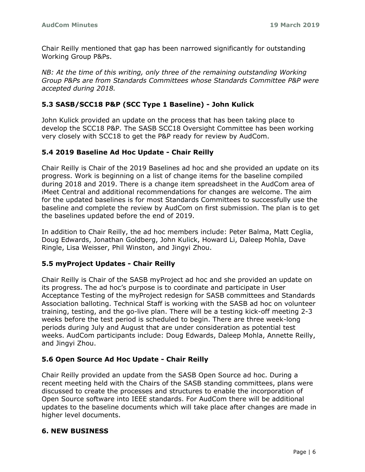Chair Reilly mentioned that gap has been narrowed significantly for outstanding Working Group P&Ps.

*NB: At the time of this writing, only three of the remaining outstanding Working Group P&Ps are from Standards Committees whose Standards Committee P&P were accepted during 2018.*

## **5.3 SASB/SCC18 P&P (SCC Type 1 Baseline) - John Kulick**

John Kulick provided an update on the process that has been taking place to develop the SCC18 P&P. The SASB SCC18 Oversight Committee has been working very closely with SCC18 to get the P&P ready for review by AudCom.

## **5.4 2019 Baseline Ad Hoc Update - Chair Reilly**

Chair Reilly is Chair of the 2019 Baselines ad hoc and she provided an update on its progress. Work is beginning on a list of change items for the baseline compiled during 2018 and 2019. There is a change item spreadsheet in the AudCom area of iMeet Central and additional recommendations for changes are welcome. The aim for the updated baselines is for most Standards Committees to successfully use the baseline and complete the review by AudCom on first submission. The plan is to get the baselines updated before the end of 2019.

In addition to Chair Reilly, the ad hoc members include: Peter Balma, Matt Ceglia, Doug Edwards, Jonathan Goldberg, John Kulick, Howard Li, Daleep Mohla, Dave Ringle, Lisa Weisser, Phil Winston, and Jingyi Zhou.

## **5.5 myProject Updates - Chair Reilly**

Chair Reilly is Chair of the SASB myProject ad hoc and she provided an update on its progress. The ad hoc's purpose is to coordinate and participate in User Acceptance Testing of the myProject redesign for SASB committees and Standards Association balloting. Technical Staff is working with the SASB ad hoc on volunteer training, testing, and the go-live plan. There will be a testing kick-off meeting 2-3 weeks before the test period is scheduled to begin. There are three week-long periods during July and August that are under consideration as potential test weeks. AudCom participants include: Doug Edwards, Daleep Mohla, Annette Reilly, and Jingyi Zhou.

## **5.6 Open Source Ad Hoc Update - Chair Reilly**

Chair Reilly provided an update from the SASB Open Source ad hoc. During a recent meeting held with the Chairs of the SASB standing committees, plans were discussed to create the processes and structures to enable the incorporation of Open Source software into IEEE standards. For AudCom there will be additional updates to the baseline documents which will take place after changes are made in higher level documents.

## **6. NEW BUSINESS**